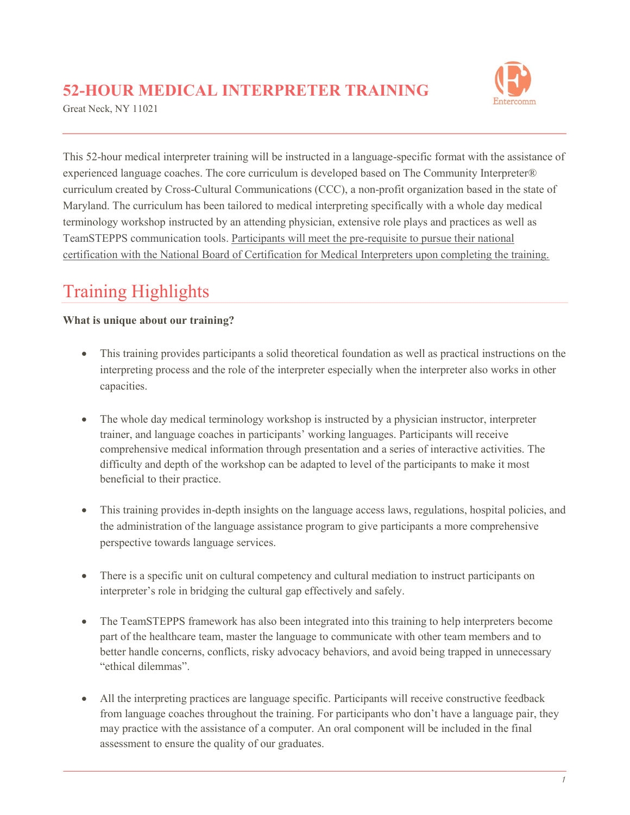### **52-HOUR MEDICAL INTERPRETER TRAINING**

Great Neck, NY 11021



This 52-hour medical interpreter training will be instructed in a language-specific format with the assistance of experienced language coaches. The core curriculum is developed based on The Community Interpreter® curriculum created by Cross-Cultural Communications (CCC), a non-profit organization based in the state of Maryland. The curriculum has been tailored to medical interpreting specifically with a whole day medical terminology workshop instructed by an attending physician, extensive role plays and practices as well as TeamSTEPPS communication tools. Participants will meet the pre-requisite to pursue their national certification with the National Board of Certification for Medical Interpreters upon completing the training.

# Training Highlights

#### **What is unique about our training?**

- This training provides participants a solid theoretical foundation as well as practical instructions on the interpreting process and the role of the interpreter especially when the interpreter also works in other capacities.
- The whole day medical terminology workshop is instructed by a physician instructor, interpreter trainer, and language coaches in participants' working languages. Participants will receive comprehensive medical information through presentation and a series of interactive activities. The difficulty and depth of the workshop can be adapted to level of the participants to make it most beneficial to their practice.
- This training provides in-depth insights on the language access laws, regulations, hospital policies, and the administration of the language assistance program to give participants a more comprehensive perspective towards language services.
- There is a specific unit on cultural competency and cultural mediation to instruct participants on interpreter's role in bridging the cultural gap effectively and safely.
- The TeamSTEPPS framework has also been integrated into this training to help interpreters become part of the healthcare team, master the language to communicate with other team members and to better handle concerns, conflicts, risky advocacy behaviors, and avoid being trapped in unnecessary "ethical dilemmas".
- All the interpreting practices are language specific. Participants will receive constructive feedback from language coaches throughout the training. For participants who don't have a language pair, they may practice with the assistance of a computer. An oral component will be included in the final assessment to ensure the quality of our graduates.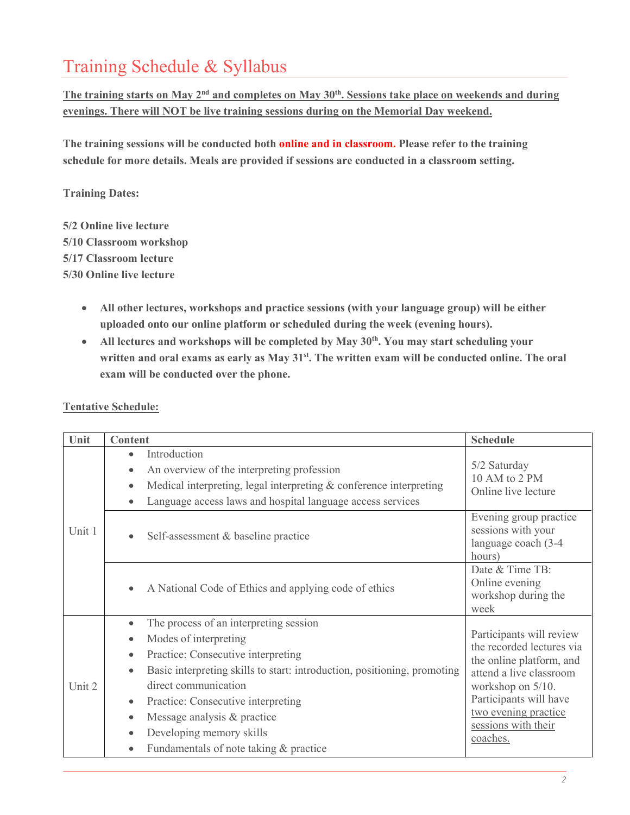## Training Schedule & Syllabus

The training starts on May 2<sup>nd</sup> and completes on May 30<sup>th</sup>. Sessions take place on weekends and during **evenings. There will NOT be live training sessions during on the Memorial Day weekend.**

**The training sessions will be conducted both online and in classroom. Please refer to the training schedule for more details. Meals are provided if sessions are conducted in a classroom setting.**

**Training Dates:**

- **5/2 Online live lecture 5/10 Classroom workshop 5/17 Classroom lecture 5/30 Online live lecture**
	- **All other lectures, workshops and practice sessions (with your language group) will be either uploaded onto our online platform or scheduled during the week (evening hours).**
	- **All lectures and workshops will be completed by May 30th . You may start scheduling your** written and oral exams as early as May 31<sup>st</sup>. The written exam will be conducted online. The oral **exam will be conducted over the phone.**

| Unit   | <b>Content</b>                                                                                                                                                                                                                                                                                                                                                                                                                     | <b>Schedule</b>                                                                                                                                                                                                        |
|--------|------------------------------------------------------------------------------------------------------------------------------------------------------------------------------------------------------------------------------------------------------------------------------------------------------------------------------------------------------------------------------------------------------------------------------------|------------------------------------------------------------------------------------------------------------------------------------------------------------------------------------------------------------------------|
| Unit 1 | Introduction<br>$\bullet$<br>An overview of the interpreting profession<br>Medical interpreting, legal interpreting & conference interpreting<br>Language access laws and hospital language access services                                                                                                                                                                                                                        | 5/2 Saturday<br>10 AM to 2 PM<br>Online live lecture                                                                                                                                                                   |
|        | Self-assessment & baseline practice                                                                                                                                                                                                                                                                                                                                                                                                | Evening group practice<br>sessions with your<br>language coach (3-4<br>hours)                                                                                                                                          |
|        | A National Code of Ethics and applying code of ethics                                                                                                                                                                                                                                                                                                                                                                              | Date & Time TB:<br>Online evening<br>workshop during the<br>week                                                                                                                                                       |
| Unit 2 | The process of an interpreting session<br>$\bullet$<br>Modes of interpreting<br>$\bullet$<br>Practice: Consecutive interpreting<br>$\bullet$<br>Basic interpreting skills to start: introduction, positioning, promoting<br>$\bullet$<br>direct communication<br>Practice: Consecutive interpreting<br>$\bullet$<br>Message analysis & practice<br>$\bullet$<br>Developing memory skills<br>Fundamentals of note taking & practice | Participants will review<br>the recorded lectures via<br>the online platform, and<br>attend a live classroom<br>workshop on 5/10.<br>Participants will have<br>two evening practice<br>sessions with their<br>coaches. |

**Tentative Schedule:**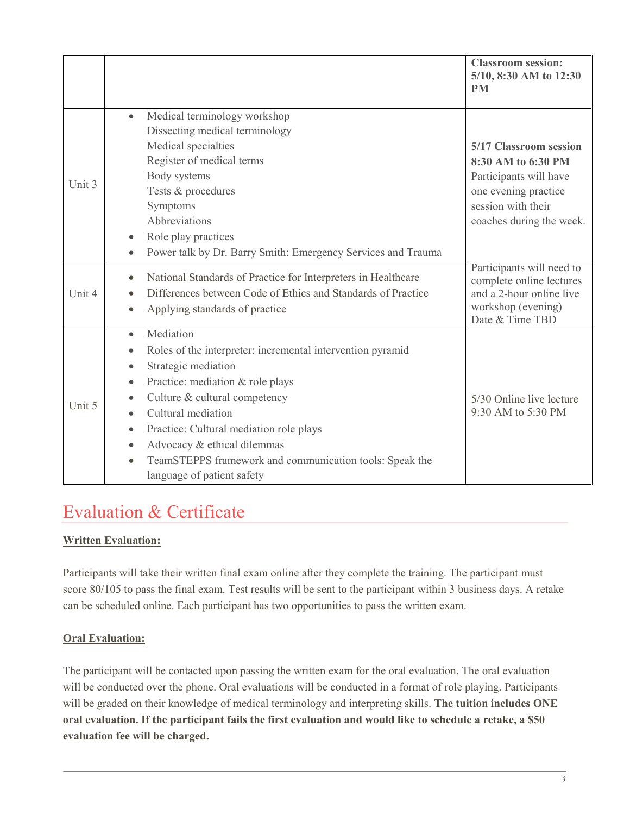|        |                                                                                                                                                                                                                                                                                                                                                                                                     | <b>Classroom session:</b><br>5/10, 8:30 AM to 12:30<br><b>PM</b>                                                                                 |
|--------|-----------------------------------------------------------------------------------------------------------------------------------------------------------------------------------------------------------------------------------------------------------------------------------------------------------------------------------------------------------------------------------------------------|--------------------------------------------------------------------------------------------------------------------------------------------------|
| Unit 3 | Medical terminology workshop<br>$\bullet$<br>Dissecting medical terminology<br>Medical specialties<br>Register of medical terms<br>Body systems<br>Tests & procedures<br>Symptoms<br>Abbreviations<br>Role play practices<br>Power talk by Dr. Barry Smith: Emergency Services and Trauma<br>$\bullet$                                                                                              | 5/17 Classroom session<br>8:30 AM to 6:30 PM<br>Participants will have<br>one evening practice<br>session with their<br>coaches during the week. |
| Unit 4 | National Standards of Practice for Interpreters in Healthcare<br>Differences between Code of Ethics and Standards of Practice<br>Applying standards of practice<br>$\bullet$                                                                                                                                                                                                                        | Participants will need to<br>complete online lectures<br>and a 2-hour online live<br>workshop (evening)<br>Date & Time TBD                       |
| Unit 5 | Mediation<br>$\bullet$<br>Roles of the interpreter: incremental intervention pyramid<br>Strategic mediation<br>Practice: mediation & role plays<br>Culture & cultural competency<br>Cultural mediation<br>$\bullet$<br>Practice: Cultural mediation role plays<br>Advocacy & ethical dilemmas<br>$\bullet$<br>TeamSTEPPS framework and communication tools: Speak the<br>language of patient safety | 5/30 Online live lecture<br>9:30 AM to 5:30 PM                                                                                                   |

### Evaluation & Certificate

#### **Written Evaluation:**

Participants will take their written final exam online after they complete the training. The participant must score 80/105 to pass the final exam. Test results will be sent to the participant within 3 business days. A retake can be scheduled online. Each participant has two opportunities to pass the written exam.

#### **Oral Evaluation:**

The participant will be contacted upon passing the written exam for the oral evaluation. The oral evaluation will be conducted over the phone. Oral evaluations will be conducted in a format of role playing. Participants will be graded on their knowledge of medical terminology and interpreting skills. **The tuition includes ONE oral evaluation. If the participant fails the first evaluation and would like to schedule a retake, a \$50 evaluation fee will be charged.**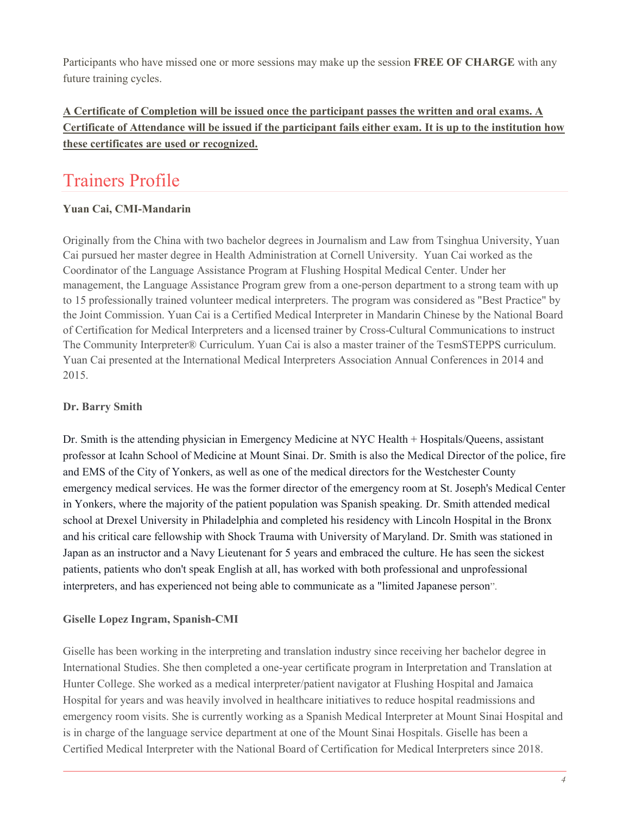Participants who have missed one or more sessions may make up the session **FREE OF CHARGE** with any future training cycles.

#### **A Certificate of Completion will be issued once the participant passes the written and oral exams. A Certificate of Attendance will be issued if the participant fails either exam. It is up to the institution how these certificates are used or recognized.**

### Trainers Profile

#### **Yuan Cai, CMI-Mandarin**

Originally from the China with two bachelor degrees in Journalism and Law from Tsinghua University, Yuan Cai pursued her master degree in Health Administration at Cornell University. Yuan Cai worked as the Coordinator of the Language Assistance Program at Flushing Hospital Medical Center. Under her management, the Language Assistance Program grew from a one-person department to a strong team with up to 15 professionally trained volunteer medical interpreters. The program was considered as "Best Practice" by the Joint Commission. Yuan Cai is a Certified Medical Interpreter in Mandarin Chinese by the National Board of Certification for Medical Interpreters and a licensed trainer by Cross-Cultural Communications to instruct The Community Interpreter® Curriculum. Yuan Cai is also a master trainer of the TesmSTEPPS curriculum. Yuan Cai presented at the International Medical Interpreters Association Annual Conferences in 2014 and 2015.

#### **Dr. Barry Smith**

Dr. Smith is the attending physician in Emergency Medicine at NYC Health + Hospitals/Queens, assistant professor at Icahn School of Medicine at Mount Sinai. Dr. Smith is also the Medical Director of the police, fire and EMS of the City of Yonkers, as well as one of the medical directors for the Westchester County emergency medical services. He was the former director of the emergency room at St. Joseph's Medical Center in Yonkers, where the majority of the patient population was Spanish speaking. Dr. Smith attended medical school at Drexel University in Philadelphia and completed his residency with Lincoln Hospital in the Bronx and his critical care fellowship with Shock Trauma with University of Maryland. Dr. Smith was stationed in Japan as an instructor and a Navy Lieutenant for 5 years and embraced the culture. He has seen the sickest patients, patients who don't speak English at all, has worked with both professional and unprofessional interpreters, and has experienced not being able to communicate as a "limited Japanese person".

#### **Giselle Lopez Ingram, Spanish-CMI**

Giselle has been working in the interpreting and translation industry since receiving her bachelor degree in International Studies. She then completed a one-year certificate program in Interpretation and Translation at Hunter College. She worked as a medical interpreter/patient navigator at Flushing Hospital and Jamaica Hospital for years and was heavily involved in healthcare initiatives to reduce hospital readmissions and emergency room visits. She is currently working as a Spanish Medical Interpreter at Mount Sinai Hospital and is in charge of the language service department at one of the Mount Sinai Hospitals. Giselle has been a Certified Medical Interpreter with the National Board of Certification for Medical Interpreters since 2018.